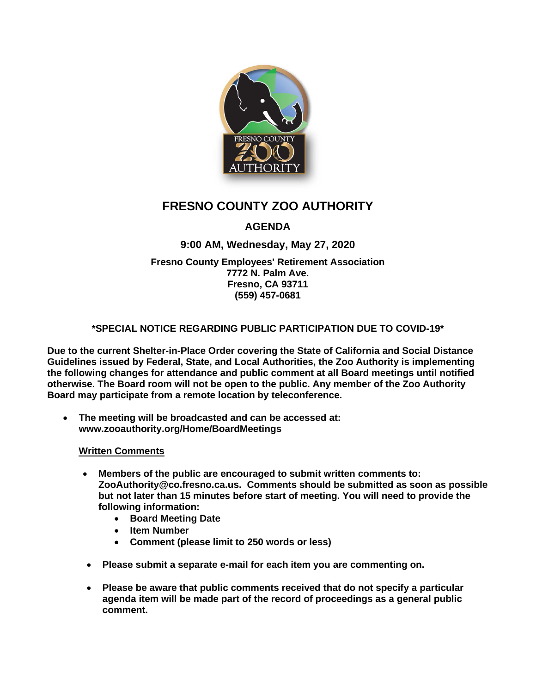

# **FRESNO COUNTY ZOO AUTHORITY**

## **AGENDA**

## **9:00 AM, Wednesday, May 27, 2020**

**Fresno County Employees' Retirement Association 7772 N. Palm Ave. Fresno, CA 93711 (559) 457-0681**

### **\*SPECIAL NOTICE REGARDING PUBLIC PARTICIPATION DUE TO COVID-19\***

**Due to the current Shelter-in-Place Order covering the State of California and Social Distance Guidelines issued by Federal, State, and Local Authorities, the Zoo Authority is implementing the following changes for attendance and public comment at all Board meetings until notified otherwise. The Board room will not be open to the public. Any member of the Zoo Authority Board may participate from a remote location by teleconference.**

• **The meeting will be broadcasted and can be accessed at: www.zooauthority.org/Home/BoardMeetings**

#### **Written Comments**

- **Members of the public are encouraged to submit written comments to: ZooAuthority@co.fresno.ca.us. Comments should be submitted as soon as possible but not later than 15 minutes before start of meeting. You will need to provide the following information:**
	- **Board Meeting Date**
	- **Item Number**
	- **Comment (please limit to 250 words or less)**
- **Please submit a separate e-mail for each item you are commenting on.**
- **Please be aware that public comments received that do not specify a particular agenda item will be made part of the record of proceedings as a general public comment.**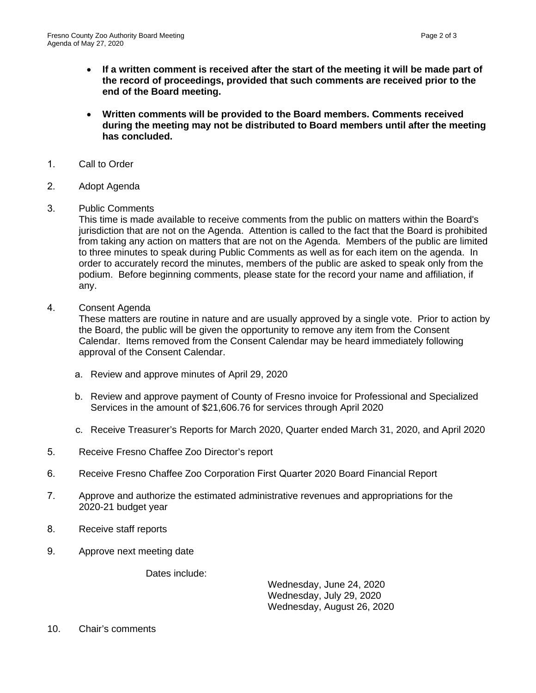- **If a written comment is received after the start of the meeting it will be made part of the record of proceedings, provided that such comments are received prior to the end of the Board meeting.**
- **Written comments will be provided to the Board members. Comments received during the meeting may not be distributed to Board members until after the meeting has concluded.**
- 1. Call to Order
- 2. Adopt Agenda
- 3. Public Comments

This time is made available to receive comments from the public on matters within the Board's jurisdiction that are not on the Agenda. Attention is called to the fact that the Board is prohibited from taking any action on matters that are not on the Agenda. Members of the public are limited to three minutes to speak during Public Comments as well as for each item on the agenda. In order to accurately record the minutes, members of the public are asked to speak only from the podium. Before beginning comments, please state for the record your name and affiliation, if any.

4. Consent Agenda

These matters are routine in nature and are usually approved by a single vote. Prior to action by the Board, the public will be given the opportunity to remove any item from the Consent Calendar. Items removed from the Consent Calendar may be heard immediately following approval of the Consent Calendar.

- a. Review and approve minutes of April 29, 2020
- b. Review and approve payment of County of Fresno invoice for Professional and Specialized Services in the amount of \$21,606.76 for services through April 2020
- c. Receive Treasurer's Reports for March 2020, Quarter ended March 31, 2020, and April 2020
- 5. Receive Fresno Chaffee Zoo Director's report
- 6. Receive Fresno Chaffee Zoo Corporation First Quarter 2020 Board Financial Report
- 7. Approve and authorize the estimated administrative revenues and appropriations for the 2020-21 budget year
- 8. Receive staff reports
- 9. Approve next meeting date

Dates include:

Wednesday, June 24, 2020 Wednesday, July 29, 2020 Wednesday, August 26, 2020

10. Chair's comments